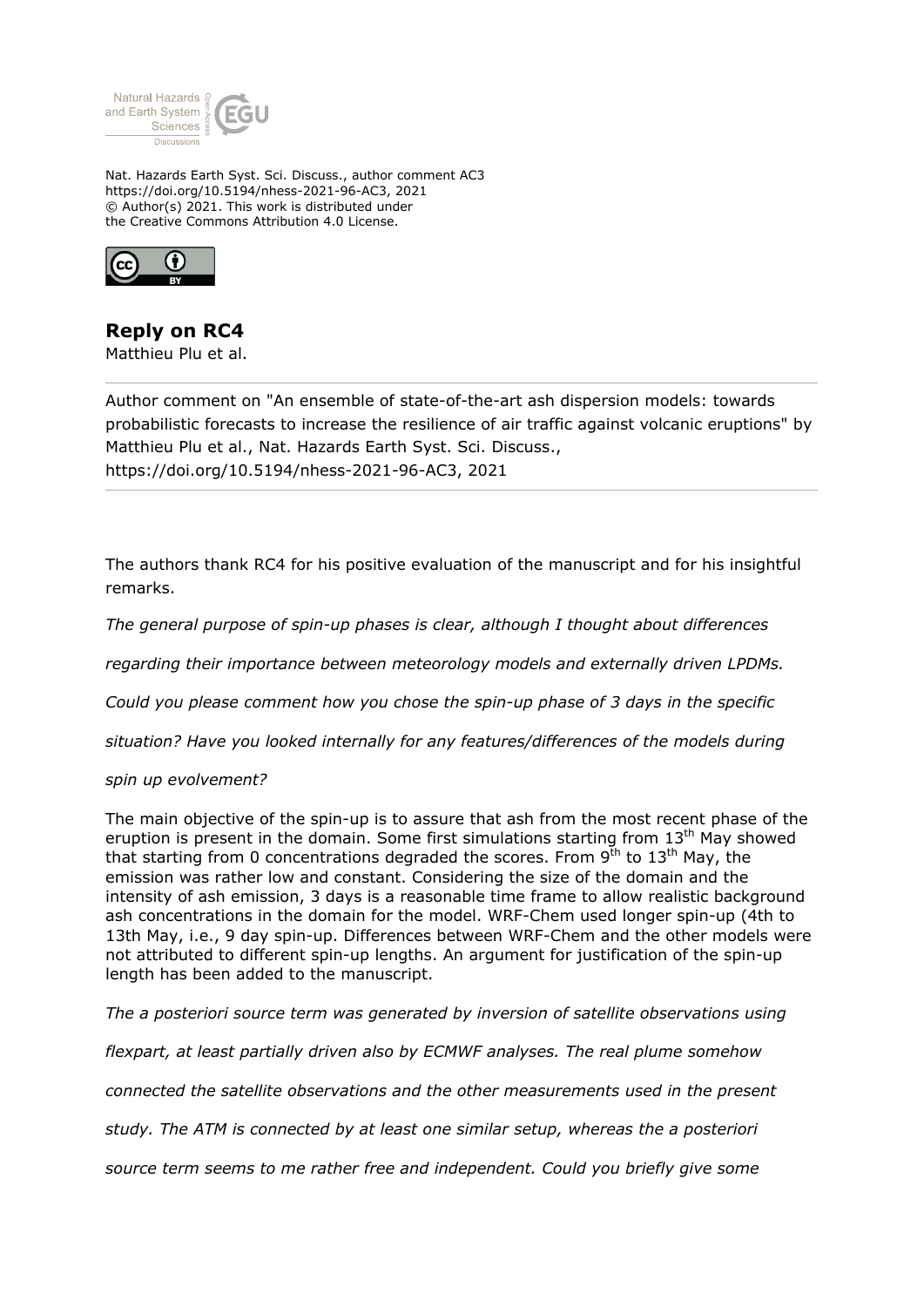

Nat. Hazards Earth Syst. Sci. Discuss., author comment AC3 https://doi.org/10.5194/nhess-2021-96-AC3, 2021 © Author(s) 2021. This work is distributed under the Creative Commons Attribution 4.0 License.



## **Reply on RC4**

Matthieu Plu et al.

Author comment on "An ensemble of state-of-the-art ash dispersion models: towards probabilistic forecasts to increase the resilience of air traffic against volcanic eruptions" by Matthieu Plu et al., Nat. Hazards Earth Syst. Sci. Discuss., https://doi.org/10.5194/nhess-2021-96-AC3, 2021

The authors thank RC4 for his positive evaluation of the manuscript and for his insightful remarks.

*The general purpose of spin-up phases is clear, although I thought about differences*

*regarding their importance between meteorology models and externally driven LPDMs.*

*Could you please comment how you chose the spin-up phase of 3 days in the specific*

*situation? Have you looked internally for any features/differences of the models during*

## *spin up evolvement?*

The main objective of the spin-up is to assure that ash from the most recent phase of the eruption is present in the domain. Some first simulations starting from  $13<sup>th</sup>$  May showed that starting from 0 concentrations degraded the scores. From  $9<sup>th</sup>$  to  $13<sup>th</sup>$  May, the emission was rather low and constant. Considering the size of the domain and the intensity of ash emission, 3 days is a reasonable time frame to allow realistic background ash concentrations in the domain for the model. WRF-Chem used longer spin-up (4th to 13th May, i.e., 9 day spin-up. Differences between WRF-Chem and the other models were not attributed to different spin-up lengths. An argument for justification of the spin-up length has been added to the manuscript.

*The a posteriori source term was generated by inversion of satellite observations using*

*flexpart, at least partially driven also by ECMWF analyses. The real plume somehow*

*connected the satellite observations and the other measurements used in the present*

*study. The ATM is connected by at least one similar setup, whereas the a posteriori*

*source term seems to me rather free and independent. Could you briefly give some*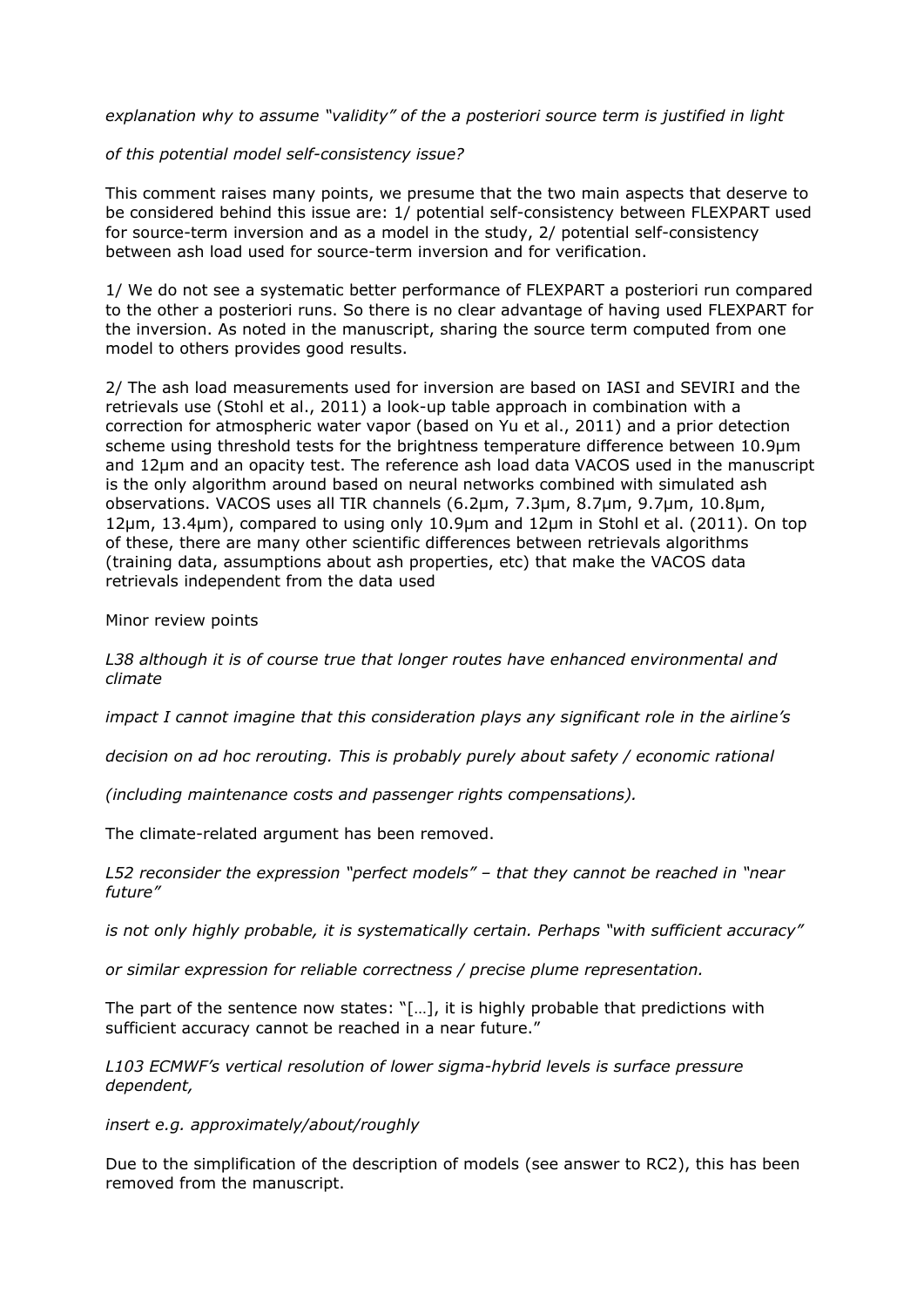*explanation why to assume "validity" of the a posteriori source term is justified in light*

## *of this potential model self-consistency issue?*

This comment raises many points, we presume that the two main aspects that deserve to be considered behind this issue are: 1/ potential self-consistency between FLEXPART used for source-term inversion and as a model in the study, 2/ potential self-consistency between ash load used for source-term inversion and for verification.

1/ We do not see a systematic better performance of FLEXPART a posteriori run compared to the other a posteriori runs. So there is no clear advantage of having used FLEXPART for the inversion. As noted in the manuscript, sharing the source term computed from one model to others provides good results.

2/ The ash load measurements used for inversion are based on IASI and SEVIRI and the retrievals use (Stohl et al., 2011) a look-up table approach in combination with a correction for atmospheric water vapor (based on Yu et al., 2011) and a prior detection scheme using threshold tests for the brightness temperature difference between 10.9μm and 12μm and an opacity test. The reference ash load data VACOS used in the manuscript is the only algorithm around based on neural networks combined with simulated ash observations. VACOS uses all TIR channels (6.2μm, 7.3μm, 8.7μm, 9.7μm, 10.8μm, 12μm, 13.4μm), compared to using only 10.9μm and 12μm in Stohl et al. (2011). On top of these, there are many other scientific differences between retrievals algorithms (training data, assumptions about ash properties, etc) that make the VACOS data retrievals independent from the data used

Minor review points

*L38 although it is of course true that longer routes have enhanced environmental and climate*

*impact I cannot imagine that this consideration plays any significant role in the airline's*

*decision on ad hoc rerouting. This is probably purely about safety / economic rational*

*(including maintenance costs and passenger rights compensations).*

The climate-related argument has been removed.

*L52 reconsider the expression "perfect models" – that they cannot be reached in "near future"*

*is not only highly probable, it is systematically certain. Perhaps "with sufficient accuracy"*

*or similar expression for reliable correctness / precise plume representation.*

The part of the sentence now states:  $\lceil \cdot \rceil \cdot n \rceil$ , it is highly probable that predictions with sufficient accuracy cannot be reached in a near future."

*L103 ECMWF's vertical resolution of lower sigma-hybrid levels is surface pressure dependent,*

*insert e.g. approximately/about/roughly*

Due to the simplification of the description of models (see answer to RC2), this has been removed from the manuscript.